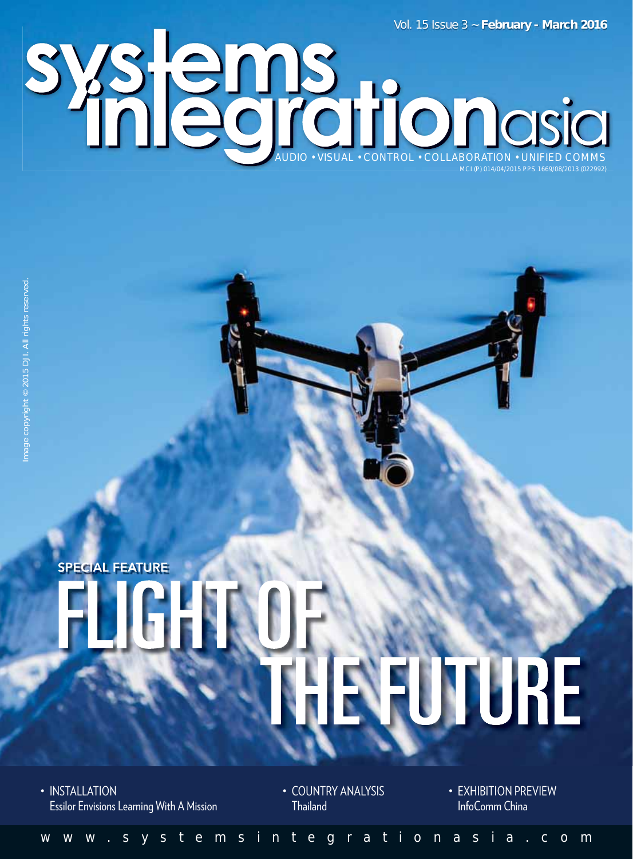Vol. 15 Issue 3 ~ **February - March 2016**

AUDIO • VISUAL • CONTROL • COLLABORATION • UNIFIED COMMS MCI (P) 014/04/2015 PPS 1669/08/2013 (022992)

## **SPECIAL FEATURE** REUTURE

• INSTALLATION Essilor Envisions Learning With A Mission • COUNTRY ANALYSIS **Thailand** 

• EXHIBITION PREVIEW InfoComm China

<www.systemsintegrationasia.com>